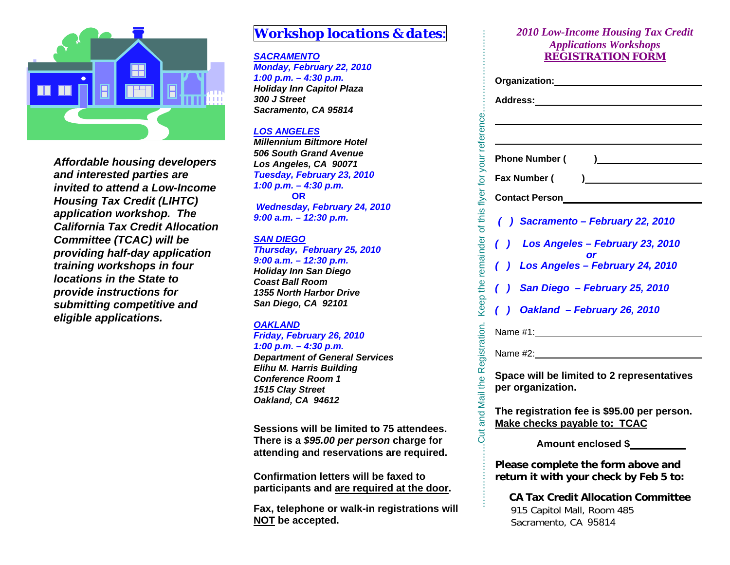

*Affordable housing developers and interested parties are invited to attend a Low-Income Housing Tax Credit (LIHTC) application workshop. The California Tax Credit Allocation Committee (TCAC) will be providing half-day application training workshops in four locations in the State to provide instructions for submitting competitive and eligible applications.* 

## *Workshop locations & dates***:**

#### *SACRAMENTO*

*Monday, February 22, 2010 1:00 p.m. – 4:30 p.m. Holiday Inn Capitol Plaza 300 J Street Sacramento, CA 95814* 

#### *LOS ANGELES*

*Millennium Biltmore Hotel 506 South Grand Avenue Los Angeles, CA 90071 Tuesday, February 23, 2010 1:00 p.m. – 4:30 p.m.*  **OR** *Wednesday, February 24, 2010 9:00 a.m. – 12:30 p.m.* 

#### *SAN DIEGO*

*Thursday, February 25, 2010 9:00 a.m. – 12:30 p.m. Holiday Inn San Diego Coast Ball Room 1355 North Harbor Drive San Diego, CA 92101* 

#### *OAKLAND*

#### *Friday, February 26, 2010*

*1:00 p.m. – 4:30 p.m.* 

*Department of General Services Elihu M. Harris Building Conference Room 1 1515 Clay Street Oakland, CA 94612* 

**Sessions will be limited to 75 attendees. There is a** *\$95.00 per person* **charge for attending and reservations are required.** 

**Confirmation letters will be faxed to participants and are required at the door.** 

**Fax, telephone or walk-in registrations will NOT be accepted.** 

#### *2010 Low-Income Housing Tax Credit Applications Workshops REGISTRATION FORM*

|                        | <b>2010 Low-Income Housing Tax Credit</b>                      |
|------------------------|----------------------------------------------------------------|
|                        | <b>Applications Workshops</b>                                  |
|                        | <b>REGISTRATION FORM</b>                                       |
|                        |                                                                |
|                        |                                                                |
|                        |                                                                |
|                        |                                                                |
|                        | <b>Phone Number (</b><br>$\begin{array}{c} \hline \end{array}$ |
|                        | Fax Number (<br>$\overline{a}$                                 |
|                        | <b>Contact Person</b>                                          |
|                        | () Sacramento - February 22, 2010                              |
|                        |                                                                |
| $\left( \quad \right)$ | Los Angeles - February 23, 2010                                |
|                        | () Los Angeles - February 24, 2010                             |
|                        | () San Diego - February 25, 2010                               |
|                        | () Oakland - February 26, 2010                                 |
|                        |                                                                |
|                        | Name #1: Name #1:                                              |
|                        |                                                                |
|                        | Space will be limited to 2 representatives                     |
|                        | per organization.                                              |
|                        | The registration fee is \$95.00 per person.                    |
|                        | Make checks payable to: TCAC                                   |
|                        | <b>Amount enclosed \$</b>                                      |
|                        | Please complete the form above and                             |
|                        | return it with your check by Feb 5 to:                         |
|                        | <b>CA Tax Credit Allocation Committee</b>                      |
|                        | 915 Capitol Mall, Room 485                                     |

Sacramento, CA 95814